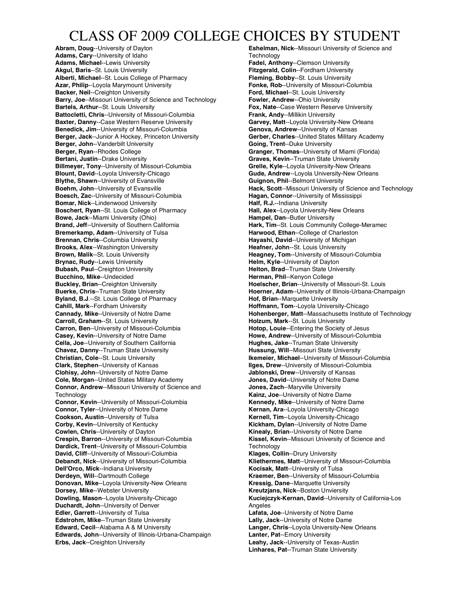## CLASS OF 2009 COLLEGE CHOICES BY STUDENT

**Abram, Doug**--University of Dayton **Adams, Cary**--University of Idaho **Adams, Michael**--Lewis University **Akgul, Baris**--St. Louis University **Alberti, Michael**--St. Louis College of Pharmacy **Azar, Philip**--Loyola Marymount University **Backer, Neil**--Creighton University **Barry, Joe**--Missouri University of Science and Technology **Bartels, Arthur**--St. Louis University **Battocletti, Chris**--University of Missouri-Columbia **Baxter, Danny**--Case Western Reserve University **Benedick, Jim**--University of Missouri-Columbia **Berger, Jack**--Junior A Hockey, Princeton University **Berger, John**--Vanderbilt University **Berger, Ryan**--Rhodes College **Bertani, Justin**--Drake University **Billmeyer, Tony**--University of Missouri-Columbia **Blount, David**--Loyola University-Chicago **Blythe, Shawn**--University of Evansville **Boehm, John**--University of Evansville **Boesch, Zac**--University of Missouri-Columbia **Bomar, Nick**--Lindenwood University **Boschert, Ryan**--St. Louis College of Pharmacy **Bowe, Jack**--Miami University (Ohio) **Brand, Jeff**--University of Southern California **Bremerkamp, Adam**--University of Tulsa **Brennan, Chris**--Columbia University **Brooks, Alex**--Washington University **Brown, Malik**--St. Louis University **Brynac, Rudy**--Lewis University **Bubash, Paul**--Creighton University **Bucchino, Mike**--Undecided **Buckley, Brian**--Creighton University **Buerke, Chris**--Truman State University **Byland, B.J**.--St. Louis College of Pharmacy **Cahill, Mark**--Fordham University **Cannady, Mike**--University of Notre Dame **Carroll, Graham**--St. Louis University **Carron, Ben**--University of Missouri-Columbia **Casey, Kevin**--University of Notre Dame **Cella, Joe**--University of Southern California **Chavez, Danny**--Truman State University **Christian, Cole**--St. Louis University **Clark, Stephen**--University of Kansas **Clohisy, John**--University of Notre Dame **Cole, Morgan**--United States Military Academy **Connor, Andrew**--Missouri University of Science and **Technology Connor, Kevin**--University of Missouri-Columbia **Connor, Tyler**--University of Notre Dame **Cookson, Austin**--University of Tulsa **Corby, Kevin**--University of Kentucky **Cowlen, Chris**--University of Dayton **Crespin, Barron**--University of Missouri-Columbia **Dardick, Trent**--University of Missouri-Columbia **David, Cliff**--University of Missouri-Columbia **Debandt, Nick**--University of Missouri-Columbia **Dell'Orco, Mick**--Indiana University **Derdeyn, Will**--Dartmouth College **Donovan, Mike**--Loyola University-New Orleans **Dorsey, Mike**--Webster University **Dowling, Mason**--Loyola University-Chicago **Duchardt, John**--University of Denver **Edler, Garrett**--University of Tulsa **Edstrohm, Mike**--Truman State University **Edward, Cecil**--Alabama A & M University **Edwards, John**--University of Illinois-Urbana-Champaign **Erbs, Jack**--Creighton University

**Eshelman, Nick**--Missouri University of Science and **Technology Fadel, Anthony**--Clemson University **Fitzgerald, Colin**--Fordham University **Fleming, Bobby**--St. Louis University **Fonke, Rob**--University of Missouri-Columbia **Ford, Michael**--St. Louis University **Fowler, Andrew**--Ohio University **Fox, Nate**--Case Western Reserve University **Frank, Andy**--Millikin University **Garvey, Matt**--Loyola University-New Orleans **Genova, Andrew**--University of Kansas **Gerber, Charles**--United States Military Academy **Going, Trent**--Duke University **Granger, Thomas**--University of Miami (Florida) **Graves, Kevin**--Truman State University **Grelle, Kyle**--Loyola University-New Orleans **Gude, Andrew**--Loyola University-New Orleans **Guignon, Phil**--Belmont University **Hack, Scott**--Missouri University of Science and Technology **Hagan, Connor**--University of Mississippi **Half, R.J.**--Indiana University **Hall, Alex**--Loyola University-New Orleans **Hampel, Dan**--Butler University **Hark, Tim**--St. Louis Community College-Meramec **Harwood, Ethan**--College of Charleston **Hayashi, David**--University of Michigan **Heafner, John**--St. Louis University **Heagney, Tom**--University of Missouri-Columbia **Helm, Kyle**--University of Dayton **Helton, Brad**--Truman State University **Herman, Phil**--Kenyon College **Hoelscher, Brian**--University of Missouri-St. Louis **Hoerner, Adam**--University of Illinois-Urbana-Champaign **Hof, Brian**--Marquette University **Hoffmann, Tom**--Loyola University-Chicago **Hohenberger, Matt**--Massachusetts Institute of Technology **Holzum, Mark**--St. Louis University **Hotop, Louie**--Entering the Society of Jesus **Howe, Andrew**--University of Missouri-Columbia **Hughes, Jake**--Truman State University **Hussung, Will**--Missouri State University **Ikemeier, Michael**--University of Missouri-Columbia **Ilges, Drew**--University of Missouri-Columbia **Jablonski, Drew**--University of Kansas **Jones, David**--University of Notre Dame **Jones, Zach**--Maryville University **Kainz, Joe**--University of Notre Dame **Kennedy, Mike**--University of Notre Dame **Kernan, Ara**--Loyola University-Chicago **Kernell, Tim**--Loyola University-Chicago **Kickham, Dylan**--University of Notre Dame **Kinealy, Brian**--University of Notre Dame **Kissel, Kevin**--Missouri University of Science and **Technology Klages, Collin**--Drury University **Kliethermes, Matt**--University of Missouri-Columbia **Kocisak, Matt**--University of Tulsa **Kraemer, Ben**--University of Missouri-Columbia **Kressig, Dane**--Marquette University **Kreutzjans, Nick**--Boston Unviersity **Kuciejczyk-Kernan, David**--University of California-Los **Angeles Lafata, Joe**--University of Notre Dame **Lally, Jack**--University of Notre Dame **Langer, Chris**--Loyola University-New Orleans **Lanter, Pat**--Emory University **Leahy, Jack**--University of Texas-Austin **Linhares, Pat**--Truman State University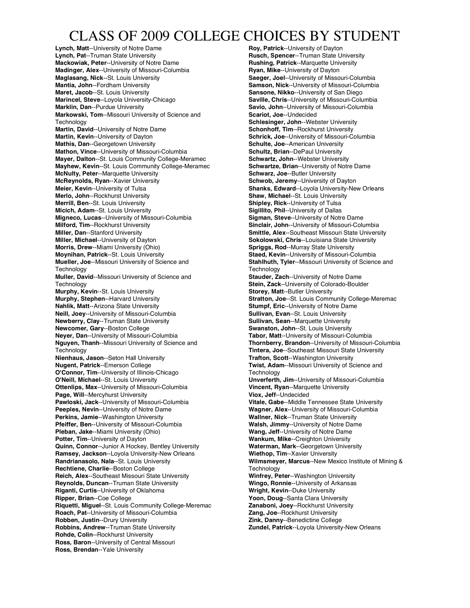## CLASS OF 2009 COLLEGE CHOICES BY STUDENT

**Lynch, Matt**--University of Notre Dame **Lynch, Pat**--Truman State University **Mackowiak, Peter**--University of Notre Dame **Madinger, Alex**--University of Missouri-Columbia **Maglasang, Nick**--St. Louis University **Mantia, John**--Fordham University **Maret, Jacob**--St. Louis University **Marincel, Steve**--Loyola University-Chicago **Marklin, Dan**--Purdue University **Markowski, Tom**--Missouri University of Science and **Technology Martin, David**--University of Notre Dame **Martin, Kevin**--University of Dayton **Mathis, Dan**--Georgetown University **Mathon, Vince**--University of Missouri-Columbia **Mayer, Dalton**--St. Louis Community College-Meramec **Mayhew, Kevin**--St. Louis Community College-Meramec **McNulty, Peter**--Marquette University **McReynolds, Ryan**--Xavier University **Meier, Kevin**--University of Tulsa **Merlo, John**--Rockhurst University **Merrill, Ben**--St. Louis University **Micich, Adam**--St. Louis University **Migneco, Lucas**--University of Missouri-Columbia **Milford, Tim**--Rockhurst University **Miller, Dan**--Stanford University **Miller, Michael**--University of Dayton **Morris, Drew**--Miami University (Ohio) **Moynihan, Patrick**--St. Louis University **Mueller, Joe**--Missouri University of Science and **Technology Muller, David**--Missouri University of Science and **Technology Murphy, Kevin**--St. Louis University **Murphy, Stephen**--Harvard University **Nahlik, Matt**--Arizona State University **Neill, Joey**--University of Missouri-Columbia **Newberry, Clay**--Truman State University **Newcomer, Gary**--Boston College **Neyer, Dan**--University of Missouri-Columbia **Nguyen, Thanh**--Missouri University of Science and **Technology Nienhaus, Jason**--Seton Hall University **Nugent, Patrick**--Emerson College **O'Connor, Tim**--University of Illinois-Chicago **O'Neill, Michael**--St. Louis University **Ottenlips, Max**--University of Missouri-Columbia **Page, Will**--Mercyhurst University **Pawloski, Jack**--University of Missouri-Columbia **Peeples, Nevin**--University of Notre Dame **Perkins, Jamie**--Washington University **Pfeiffer, Ben**--University of Missouri-Columbia **Pleban, Jake**--Miami University (Ohio) **Potter, Tim**--University of Dayton **Quinn, Connor**--Junior A Hockey, Bentley University **Ramsey, Jackson**--Loyola University-New Orleans **Randrianasolo, Nala**--St. Louis University **Rechtiene, Charlie**--Boston College **Reich, Alex**--Southeast Missouri State University **Reynolds, Duncan**--Truman State University **Riganti, Curtis**--University of Oklahoma **Ripper, Brian**--Coe College **Riquetti, Miguel**--St. Louis Community College-Meremac **Roach, Pat**--University of Missouri-Columbia **Robben, Justin**--Drury University **Robbins, Andrew**--Truman State University **Rohde, Colin**--Rockhurst University **Ross, Baron**--University of Central Missouri **Ross, Brendan**--Yale University

**Roy, Patrick**--University of Dayton **Rusch, Spencer**--Truman State University **Rushing, Patrick**--Marquette University **Ryan, Mike**--University of Dayton **Saeger, Joel**--University of Missouri-Columbia **Samson, Nick**--University of Missouri-Columbia **Sansone, Nikko**--University of San Diego **Saville, Chris**--University of Missouri-Columbia **Savio, John**--University of Missouri-Columbia **Scariot, Joe**--Undecided **Schlesinger, John**--Webster University **Schonhoff, Tim**--Rockhurst University **Schrick, Joe**--University of Missouri-Columbia **Schulte, Joe**--American University **Schultz, Brian**--DePaul University **Schwartz, John**--Webster University **Schwartze, Brian**--University of Notre Dame **Schwarz, Joe**--Butler University **Schwob, Jeremy**--University of Dayton **Shanks, Edward**--Loyola University-New Orleans **Shaw, Michael**--St. Louis University **Shipley, Rick**--University of Tulsa **Sigillito, Phil**--University of Dallas **Sigman, Steve**--University of Notre Dame **Sinclair, John**--University of Missouri-Columbia **Smittle, Alex**--Southeast Missouri State University **Sokolowski, Chris**--Louisiana State University **Spriggs, Rod**--Murray State University **Staed, Kevin**--University of Missouri-Columbia **Stahlhuth, Tyler**--Missouri University of Science and **Technology Stauder, Zach**--University of Notre Dame **Stein, Zack**--University of Colorado-Boulder **Storey, Matt**--Butler University **Stratton, Joe**--St. Louis Community College-Meremac **Stumpf, Eric**--University of Notre Dame **Sullivan, Evan**--St. Louis University **Sullivan, Sean**--Marquette University **Swanston, John**--St. Louis University **Tabor, Matt**--University of Missouri-Columbia **Thornberry, Brandon**--University of Missouri-Columbia **Tintera, Joe**--Southeast Missouri State University **Trafton, Scott**--Washington University **Twist, Adam**--Missouri University of Science and **Technology Unverferth, Jim**--University of Missouri-Columbia **Vincent, Ryan**--Marquette University **Viox, Jeff**--Undecided **Vitale, Gabe**--Middle Tennessee State University **Wagner, Alex**--University of Missouri-Columbia **Wallner, Nick**--Truman State University **Walsh, Jimmy**--University of Notre Dame **Wang, Jeff**--University of Notre Dame **Wankum, Mike**--Creighton University **Waterman, Mark**--Georgetown University **Wiethop, Tim**--Xavier University **Wilmsmeyer, Marcus**--New Mexico Institute of Mining & **Technology Winfrey, Peter**--Washington University **Wingo, Ronnie**--University of Arkansas **Wright, Kevin**--Duke University **Yoon, Doug**--Santa Clara University **Zanaboni, Joey**--Rockhurst University **Zang, Joe**--Rockhurst University **Zink, Danny**--Benedictine College **Zundel, Patrick**--Loyola University-New Orleans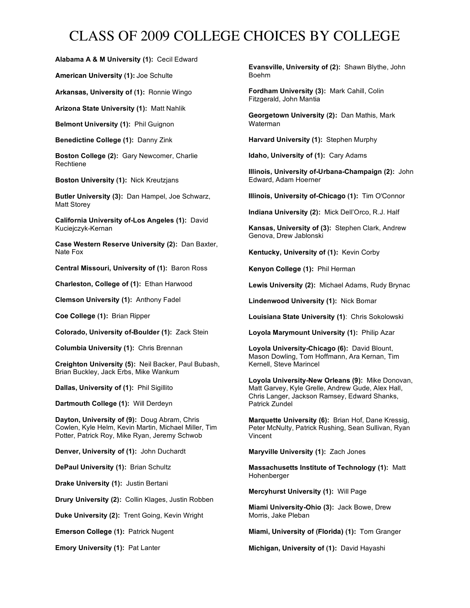# CLASS OF 2009 COLLEGE CHOICES BY COLLEGE

**Alabama A & M University (1):** Cecil Edward

**American University (1):** Joe Schulte

**Arkansas, University of (1):** Ronnie Wingo

**Arizona State University (1):** Matt Nahlik

**Belmont University (1):** Phil Guignon

**Benedictine College (1):** Danny Zink

**Boston College (2):** Gary Newcomer, Charlie Rechtiene

**Boston University (1):** Nick Kreutzjans

**Butler University (3):** Dan Hampel, Joe Schwarz, Matt Storey

**California University of-Los Angeles (1):** David Kuciejczyk-Kernan

**Case Western Reserve University (2):** Dan Baxter, Nate Fox

**Central Missouri, University of (1):** Baron Ross

**Charleston, College of (1):** Ethan Harwood

**Clemson University (1):** Anthony Fadel

**Coe College (1):** Brian Ripper

**Colorado, University of-Boulder (1):** Zack Stein

**Columbia University (1):** Chris Brennan

**Creighton University (5):** Neil Backer, Paul Bubash, Brian Buckley, Jack Erbs, Mike Wankum

**Dallas, University of (1):** Phil Sigillito

**Dartmouth College (1):** Will Derdeyn

**Dayton, University of (9):** Doug Abram, Chris Cowlen, Kyle Helm, Kevin Martin, Michael Miller, Tim Potter, Patrick Roy, Mike Ryan, Jeremy Schwob

**Denver, University of (1):** John Duchardt

**DePaul University (1):** Brian Schultz

**Drake University (1):** Justin Bertani

**Drury University (2):** Collin Klages, Justin Robben

**Duke University (2):** Trent Going, Kevin Wright

**Emerson College (1):** Patrick Nugent

**Emory University (1):** Pat Lanter

**Evansville, University of (2):** Shawn Blythe, John Boehm

**Fordham University (3):** Mark Cahill, Colin Fitzgerald, John Mantia

**Georgetown University (2):** Dan Mathis, Mark Waterman

**Harvard University (1):** Stephen Murphy

**Idaho, University of (1):** Cary Adams

**Illinois, University of-Urbana-Champaign (2):** John Edward, Adam Hoerner

**Illinois, University of-Chicago (1):** Tim O'Connor

**Indiana University (2):** Mick Dell'Orco, R.J. Half

**Kansas, University of (3):** Stephen Clark, Andrew Genova, Drew Jablonski

**Kentucky, University of (1):** Kevin Corby

**Kenyon College (1):** Phil Herman

**Lewis University (2):** Michael Adams, Rudy Brynac

**Lindenwood University (1):** Nick Bomar

**Louisiana State University (1)**: Chris Sokolowski

**Loyola Marymount University (1):** Philip Azar

**Loyola University-Chicago (6):** David Blount, Mason Dowling, Tom Hoffmann, Ara Kernan, Tim Kernell, Steve Marincel

**Loyola University-New Orleans (9):** Mike Donovan, Matt Garvey, Kyle Grelle, Andrew Gude, Alex Hall, Chris Langer, Jackson Ramsey, Edward Shanks, Patrick Zundel

**Marquette University (6):** Brian Hof, Dane Kressig, Peter McNulty, Patrick Rushing, Sean Sullivan, Ryan Vincent

**Maryville University (1):** Zach Jones

**Massachusetts Institute of Technology (1):** Matt Hohenberger

**Mercyhurst University (1):** Will Page

**Miami University-Ohio (3):** Jack Bowe, Drew Morris, Jake Pleban

**Miami, University of (Florida) (1):** Tom Granger

**Michigan, University of (1):** David Hayashi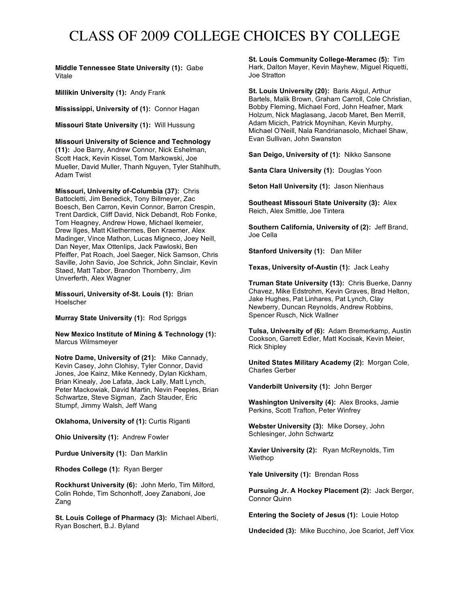# CLASS OF 2009 COLLEGE CHOICES BY COLLEGE

**Middle Tennessee State University (1):** Gabe Vitale

**Millikin University (1):** Andy Frank

**Mississippi, University of (1):** Connor Hagan

**Missouri State University (1):** Will Hussung

**Missouri University of Science and Technology** 

**(11):** Joe Barry, Andrew Connor, Nick Eshelman, Scott Hack, Kevin Kissel, Tom Markowski, Joe Mueller, David Muller, Thanh Nguyen, Tyler Stahlhuth, Adam Twist

**Missouri, University of-Columbia (37):** Chris Battocletti, Jim Benedick, Tony Billmeyer, Zac Boesch, Ben Carron, Kevin Connor, Barron Crespin, Trent Dardick, Cliff David, Nick Debandt, Rob Fonke, Tom Heagney, Andrew Howe, Michael Ikemeier, Drew Ilges, Matt Kliethermes, Ben Kraemer, Alex Madinger, Vince Mathon, Lucas Migneco, Joey Neill, Dan Neyer, Max Ottenlips, Jack Pawloski, Ben Pfeiffer, Pat Roach, Joel Saeger, Nick Samson, Chris Saville, John Savio, Joe Schrick, John Sinclair, Kevin Staed, Matt Tabor, Brandon Thornberry, Jim Unverferth, Alex Wagner

**Missouri, University of-St. Louis (1):** Brian Hoelscher

**Murray State University (1):** Rod Spriggs

**New Mexico Institute of Mining & Technology (1):** Marcus Wilmsmeyer

**Notre Dame, University of (21):** Mike Cannady, Kevin Casey, John Clohisy, Tyler Connor, David Jones, Joe Kainz, Mike Kennedy, Dylan Kickham, Brian Kinealy, Joe Lafata, Jack Lally, Matt Lynch, Peter Mackowiak, David Martin, Nevin Peeples, Brian Schwartze, Steve Sigman, Zach Stauder, Eric Stumpf, Jimmy Walsh, Jeff Wang

**Oklahoma, University of (1):** Curtis Riganti

**Ohio University (1):** Andrew Fowler

**Purdue University (1):** Dan Marklin

**Rhodes College (1):** Ryan Berger

**Rockhurst University (6):** John Merlo, Tim Milford, Colin Rohde, Tim Schonhoff, Joey Zanaboni, Joe Zang

**St. Louis College of Pharmacy (3):** Michael Alberti, Ryan Boschert, B.J. Byland

**St. Louis Community College-Meramec (5):** Tim Hark, Dalton Mayer, Kevin Mayhew, Miguel Riquetti, Joe Stratton

**St. Louis University (20):** Baris Akgul, Arthur Bartels, Malik Brown, Graham Carroll, Cole Christian, Bobby Fleming, Michael Ford, John Heafner, Mark Holzum, Nick Maglasang, Jacob Maret, Ben Merrill, Adam Micich, Patrick Moynihan, Kevin Murphy, Michael O'Neill, Nala Randrianasolo, Michael Shaw, Evan Sullivan, John Swanston

**San Deigo, University of (1):** Nikko Sansone

**Santa Clara University (1):** Douglas Yoon

**Seton Hall University (1):** Jason Nienhaus

**Southeast Missouri State University (3):** Alex Reich, Alex Smittle, Joe Tintera

**Southern California, University of (2):** Jeff Brand, Joe Cella

**Stanford University (1):** Dan Miller

**Texas, University of-Austin (1):** Jack Leahy

**Truman State University (13):** Chris Buerke, Danny Chavez, Mike Edstrohm, Kevin Graves, Brad Helton, Jake Hughes, Pat Linhares, Pat Lynch, Clay Newberry, Duncan Reynolds, Andrew Robbins, Spencer Rusch, Nick Wallner

**Tulsa, University of (6):** Adam Bremerkamp, Austin Cookson, Garrett Edler, Matt Kocisak, Kevin Meier, Rick Shipley

**United States Military Academy (2):** Morgan Cole, Charles Gerber

**Vanderbilt University (1):** John Berger

**Washington University (4):** Alex Brooks, Jamie Perkins, Scott Trafton, Peter Winfrey

**Webster University (3):** Mike Dorsey, John Schlesinger, John Schwartz

**Xavier University (2):** Ryan McReynolds, Tim Wiethop

**Yale University (1):** Brendan Ross

**Pursuing Jr. A Hockey Placement (2):** Jack Berger, Connor Quinn

**Entering the Society of Jesus (1):** Louie Hotop

**Undecided (3):** Mike Bucchino, Joe Scariot, Jeff Viox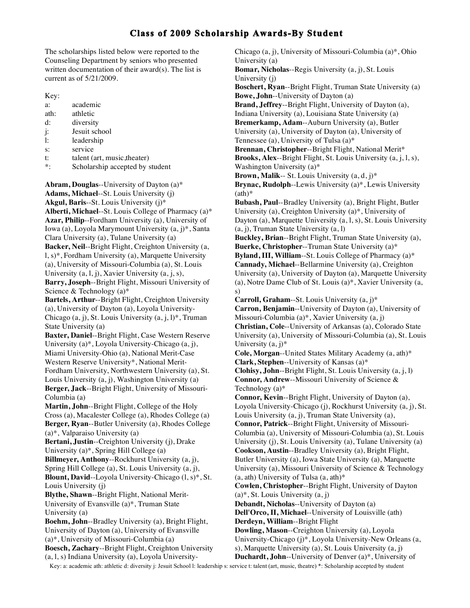The scholarships listed below were reported to the Counseling Department by seniors who presented written documentation of their award(s). The list is current as of 5/21/2009.

Key:

| a:             | academic                        |
|----------------|---------------------------------|
| ath:           | athletic                        |
| $d$ :          | diversity                       |
| $\mathbf{j}$ : | Jesuit school                   |
| $\mathbf{1}$ : | leadership                      |
| s:             | service                         |
| t:             | talent (art, music, theater)    |
| $\ast.$        | Scholarship accepted by student |

**Abram, Douglas**--University of Dayton (a)\* **Adams, Michael**--St. Louis University (j) **Akgul, Baris**--St. Louis University (j)\* **Alberti, Michael**--St. Louis College of Pharmacy (a)\* **Azar, Philip**--Fordham University (a), University of Iowa (a), Loyola Marymount University (a, j)\*, Santa Clara University (a), Tulane University (a) **Backer, Neil**--Bright Flight, Creighton University (a, l, s)\*, Fordham University (a), Marquette University (a), University of Missouri-Columbia (a), St. Louis University (a, l, j), Xavier University (a, j, s), **Barry, Joseph**--Bright Flight, Missouri University of Science & Technology (a)\* **Bartels, Arthur**--Bright Flight, Creighton University (a), University of Dayton (a), Loyola University-Chicago  $(a, j)$ , St. Louis University  $(a, j, l)^*$ , Truman State University (a) **Baxter, Daniel**--Bright Flight, Case Western Reserve University (a)\*, Loyola University-Chicago (a, j), Miami University-Ohio (a), National Merit-Case Western Reserve University\*, National Merit-Fordham University, Northwestern University (a), St. Louis University (a, j), Washington University (a) **Berger, Jack**--Bright Flight, University of Missouri-Columbia (a) **Martin, John**--Bright Flight, College of the Holy Cross (a), Macalester College (a), Rhodes College (a) **Berger, Ryan**--Butler University (a), Rhodes College (a)\*, Valparaiso University (a) **Bertani, Justin**--Creighton University (j), Drake University (a)\*, Spring Hill College (a) **Billmeyer, Anthony**--Rockhurst University (a, j), Spring Hill College (a), St. Louis University (a, j), **Blount, David**--Loyola University-Chicago (l, s)\*, St. Louis University (j) **Blythe, Shawn**--Bright Flight, National Merit-University of Evansville (a)\*, Truman State University (a) **Boehm, John**--Bradley University (a), Bright Flight, University of Dayton (a), University of Evansville (a)\*, University of Missouri-Columbia (a) **Boesch, Zachary**--Bright Flight, Creighton University (a, l, s) Indiana University (a), Loyola UniversityChicago (a, j), University of Missouri-Columbia (a)\*, Ohio University (a) **Bomar, Nicholas**--Regis University (a, j), St. Louis University (j) **Boschert, Ryan**--Bright Flight, Truman State University (a) **Bowe, John**--University of Dayton (a) **Brand, Jeffrey**--Bright Flight, University of Dayton (a), Indiana University (a), Louisiana State University (a) **Bremerkamp, Adam**--Auburn University (a), Butler University (a), University of Dayton (a), University of Tennessee (a), University of Tulsa (a)\* **Brennan, Christopher**--Bright Flight, National Merit\* **Brooks, Alex**--Bright Flight, St. Louis University (a, j, l, s), Washington University (a)\* **Brown, Malik**-- St. Louis University (a, d, j)\* **Brynac, Rudolph**--Lewis University (a)\*, Lewis University  $(a<sup>*</sup>)$ **Bubash, Paul**--Bradley University (a), Bright Flight, Butler University (a), Creighton University (a)\*, University of Dayton (a), Marquette University (a, l, s), St. Louis University (a, j), Truman State University (a, l) **Buckley, Brian**--Bright Flight, Truman State University (a), **Buerke, Christopher**--Truman State University (a)\* **Byland, III, William**--St. Louis College of Pharmacy (a)\* **Cannady, Michael**--Bellarmine University (a), Creighton University (a), University of Dayton (a), Marquette University (a), Notre Dame Club of St. Louis (a)\*, Xavier University (a, s) **Carroll, Graham**--St. Louis University (a, j)\* **Carron, Benjamin**--University of Dayton (a), University of Missouri-Columbia (a)\*, Xavier University (a, j) **Christian, Cole**--University of Arkansas (a), Colorado State University (a), University of Missouri-Columbia (a), St. Louis University  $(a, j)^*$ **Cole, Morgan**--United States Military Academy (a, ath)\* **Clark, Stephen**--University of Kansas (a)\* **Clohisy, John**--Bright Flight, St. Louis University (a, j, l) **Connor, Andrew**--Missouri University of Science & Technology (a)\* **Connor, Kevin**--Bright Flight, University of Dayton (a), Loyola University-Chicago (j), Rockhurst University (a, j), St. Louis University (a, j), Truman State University (a), **Connor, Patrick**--Bright Flight, University of Missouri-Columbia (a), University of Missouri-Columbia (a), St. Louis University (j), St. Louis University (a), Tulane University (a) **Cookson, Austin**--Bradley University (a), Bright Flight, Butler University (a), Iowa State University (a), Marquette University (a), Missouri University of Science & Technology (a, ath) University of Tulsa (a, ath)\* **Cowlen, Christopher**--Bright Flight, University of Dayton  $(a)$ <sup>\*</sup>, St. Louis University  $(a, j)$ **Debandt, Nicholas**--University of Dayton (a) **Dell'Orco, II, Michael**--University of Louisville (ath) **Derdeyn, William**--Bright Flight **Dowling, Mason**--Creighton University (a), Loyola University-Chicago (j)\*, Loyola University-New Orleans (a, s), Marquette University (a), St. Louis University (a, j) **Duchardt, John**--University of Denver (a)\*, University of

Key: a: academic ath: athletic d: diversity j: Jesuit School l: leadership s: service t: talent (art, music, theatre) \*: Scholarship accepted by student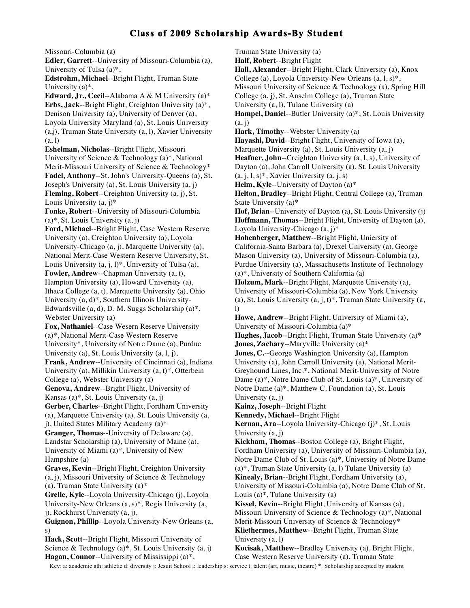Missouri-Columbia (a) **Edler, Garrett**--University of Missouri-Columbia (a), University of Tulsa (a)\*, **Edstrohm, Michael**--Bright Flight, Truman State University (a)\*, **Edward, Jr., Cecil**--Alabama A & M University (a)\* **Erbs, Jack**--Bright Flight, Creighton University (a)\*, Denison University (a), University of Denver (a), Loyola University Maryland (a), St. Louis University (a,j), Truman State University (a, l), Xavier University (a, l) **Eshelman, Nicholas**--Bright Flight, Missouri University of Science & Technology (a)\*, National Merit-Missouri University of Science & Technology\* **Fadel, Anthony**--St. John's University-Queens (a), St. Joseph's University (a), St. Louis University (a, j) **Fleming, Robert**--Creighton University (a, j), St. Louis University  $(a, j)^*$ **Fonke, Robert**--University of Missouri-Columbia  $(a)$ <sup>\*</sup>, St. Louis University  $(a, j)$ **Ford, Michael**--Bright Flight, Case Western Reserve University (a), Creighton University (a), Loyola University-Chicago (a, j), Marquette University (a), National Merit-Case Western Reserve University, St. Louis University  $(a, j, l)^*$ , University of Tulsa  $(a)$ , **Fowler, Andrew**--Chapman University (a, t), Hampton University (a), Howard University (a), Ithaca College (a, t), Marquette University (a), Ohio University (a, d)\*, Southern Illinois University-Edwardsville (a, d), D. M. Suggs Scholarship (a)\*, Webster University (a) **Fox, Nathaniel**--Case Wesern Reserve University (a)\*, National Merit-Case Western Reserve University\*, University of Notre Dame (a), Purdue University (a), St. Louis University (a, l, j), **Frank, Andrew**--University of Cincinnati (a), Indiana University (a), Millikin University (a, t)\*, Otterbein College (a), Webster University (a) **Genova, Andrew**--Bright Flight, University of Kansas (a)\*, St. Louis University (a, j) **Gerber, Charles**--Bright Flight, Fordham University (a), Marquette University (a), St. Louis University (a, j), United States Military Academy (a)\* **Granger, Thomas**--University of Delaware (a), Landstar Scholarship (a), University of Maine (a), University of Miami (a)\*, University of New Hampshire (a) **Graves, Kevin**--Bright Flight, Creighton University (a, j), Missouri University of Science & Technology (a), Truman State University (a)\* **Grelle, Kyle**--Loyola University-Chicago (j), Loyola University-New Orleans (a, s)\*, Regis University (a, j), Rockhurst University (a, j), **Guignon, Phillip**--Loyola University-New Orleans (a, s) **Hack, Scott**--Bright Flight, Missouri University of Science & Technology  $(a)$ <sup>\*</sup>, St. Louis University  $(a, j)$  $(a, i)$  $\overline{D}$ 

**Hagan, Connor**--University of Mississippi (a)\*,

Truman State University (a)

**Half, Robert**--Bright Flight

**Hall, Alexander**--Bright Flight, Clark University (a), Knox College (a), Loyola University-New Orleans  $(a, 1, s)^*$ ,

Missouri University of Science & Technology (a), Spring Hill

College (a, j), St. Anselm College (a), Truman State

University (a, l), Tulane University (a)

**Hampel, Daniel**--Butler University (a)\*, St. Louis University

**Hark, Timothy**--Webster University (a)

**Hayashi, David**--Bright Flight, University of Iowa (a), Marquette University (a), St. Louis University (a, j)

**Heafner, John**--Creighton University (a, l, s), University of Dayton (a), John Carroll University (a), St. Louis University  $(a, j, l, s)^*$ , Xavier University  $(a, j, s)$ 

**Helm, Kyle**--University of Dayton (a)\*

**Helton, Bradley**--Bright Flight, Central College (a), Truman State University (a)\*

**Hof, Brian**--University of Dayton (a), St. Louis University (j) **Hoffmann, Thomas**--Bright Flight, University of Dayton (a), Loyola University-Chicago (a, j)\*

**Hohenberger, Matthew**--Bright Flight, Uniersity of California-Santa Barbara (a), Drexel University (a), George Mason University (a), University of Missouri-Columbia (a), Purdue University (a), Massachusetts Institute of Technology (a)\*, University of Southern California (a)

**Holzum, Mark**--Bright Flight, Marquette University (a), University of Missouri-Columbia (a), New York University (a), St. Louis University  $(a, j, t)^*$ , Truman State University  $(a, j, t)^*$ 

**Howe, Andrew**--Bright Flight, University of Miami (a), University of Missouri-Columbia (a)\*

**Hughes, Jacob**--Bright Flight, Truman State University (a)\* **Jones, Zachary**--Maryville University (a)\*

**Jones, C.**--George Washington University (a), Hampton University (a), John Carroll University (a), National Merit-Greyhound Lines, Inc.\*, National Merit-University of Notre Dame (a)\*, Notre Dame Club of St. Louis (a)\*, University of Notre Dame (a)\*, Matthew C. Foundation (a), St. Louis University (a, j)

**Kainz, Joseph**--Bright Flight

**Kennedy, Michael**--Bright Flight

**Kernan, Ara**--Loyola University-Chicago (j)\*, St. Louis University (a, j)

**Kickham, Thomas**--Boston College (a), Bright Flight, Fordham University (a), University of Missouri-Columbia (a), Notre Dame Club of St. Louis (a)\*, University of Notre Dame (a)\*, Truman State University (a, l) Tulane University (a) **Kinealy, Brian**--Bright Flight, Fordham University (a), University of Missouri-Columbia (a), Notre Dame Club of St.

Louis (a)\*, Tulane University (a)

**Kissel, Kevin**--Bright Flight, University of Kansas (a), Missouri University of Science & Technology (a)\*, National Merit-Missouri University of Science & Technology\* **Kliethermes, Matthew**--Bright Flight, Truman State University (a, l)

**Kocisak, Matthew**--Bradley University (a), Bright Flight, Case Western Reserve University (a), Truman State

Key: a: academic ath: athletic d: diversity j: Jesuit School l: leadership s: service t: talent (art, music, theatre) \*: Scholarship accepted by student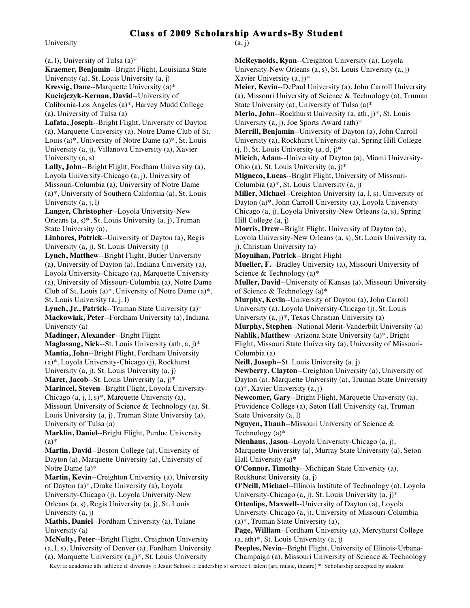University

(a, l), University of Tulsa (a)\* **Kraemer, Benjamin**--Bright Flight, Louisiana State University (a), St. Louis University (a, j) **Kressig, Dane**--Marquette University (a)\* **Kuciejczyk-Kernan, David**--University of California-Los Angeles (a)\*, Harvey Mudd College (a), University of Tulsa (a) **Lafata, Joseph**--Bright Flight, University of Dayton (a), Marquette University (a), Notre Dame Club of St. Louis (a)\*, University of Notre Dame (a)\*, St. Louis University (a, j), Villanova University (a), Xavier University (a, s) **Lally, John**--Bright Flight, Fordham University (a), Loyola University-Chicago (a, j), University of Missouri-Columbia (a), University of Notre Dame (a)\*, University of Southern California (a), St. Louis University (a, j, l) **Langer, Christopher**--Loyola University-New Orleans (a, s)\*, St. Louis University (a, j), Truman State University (a), **Linhares, Patrick**--University of Dayton (a), Regis University (a, j), St. Louis University (j) **Lynch, Matthew**--Bright Flight, Butler University (a), University of Dayton (a), Indiana University (a), Loyola University-Chicago (a), Marquette University (a), University of Missouri-Columbia (a), Notre Dame Club of St. Louis (a)\*, University of Notre Dame (a)\*, St. Louis University (a, j, l) **Lynch, Jr., Patrick**--Truman State University (a)\* **Mackowiak, Peter**--Fordham University (a), Indiana University (a) **Madinger, Alexander**--Bright Flight **Maglasang, Nick**--St. Louis University (ath, a, j)\* **Mantia, John**--Bright Flight, Fordham University (a)\*, Loyola University-Chicago (j), Rockhurst University (a, j), St. Louis University (a, j) **Maret, Jacob**--St. Louis University (a, j)\* **Marincel, Steven**--Bright Flight, Loyola University-Chicago  $(a, j, l, s)^*$ , Marquette University  $(a)$ , Missouri University of Science & Technology (a), St. Louis University (a, j), Truman State University (a), University of Tulsa (a) **Marklin, Daniel**--Bright Flight, Purdue University  $(a)$ **Martin, David**--Boston College (a), University of Dayton (a), Marquette University (a), University of Notre Dame (a)\* **Martin, Kevin**--Creighton University (a), University of Dayton (a)\*, Drake University (a), Loyola University-Chicago (j), Loyola University-New Orleans (a, s), Regis University (a, j), St. Louis University (a, j) **Mathis, Daniel**--Fordham University (a), Tulane University (a) **McNulty, Peter**--Bright Flight, Creighton University (a, l, s), University of Denver (a), Fordham University

 $(a, i)$ 

**McReynolds, Ryan**--Creighton University (a), Loyola University-New Orleans (a, s), St. Louis University (a, j) Xavier University (a, j)\*

**Meier, Kevin**--DePaul University (a), John Carroll University (a), Missouri University of Science & Technology (a), Truman State University (a), University of Tulsa (a)\*

**Merlo, John**--Rockhurst University (a, ath, j)\*, St. Louis University (a, j), Joe Sports Award (ath)\*

**Merrill, Benjamin**--University of Dayton (a), John Carroll University (a), Rockhurst University (a), Spring Hill College  $(i, l)$ , St. Louis University  $(a, d, j)^*$ 

**Micich, Adam**--University of Dayton (a), Miami University-Ohio (a), St. Louis University (a, j)\*

**Migneco, Lucas**--Bright Flight, University of Missouri-

Columbia (a)\*, St. Louis University (a, j)

**Miller, Michael**--Creighton University (a, l, s), University of Dayton (a)\*, John Carroll University (a), Loyola University-Chicago (a, j), Loyola University-New Orleans (a, s), Spring Hill College (a, j)

**Morris, Drew**--Bright Flight, University of Dayton (a), Loyola University-New Orleans (a, s), St. Louis University (a, j), Christian University (a)

**Moynihan, Patrick**--Bright Flight

**Mueller, F.**--Bradley University (a), Missouri University of Science & Technology (a)\*

**Muller, David**--University of Kansas (a), Missouri University of Science & Technology (a)\*

**Murphy, Kevin**--University of Dayton (a), John Carroll University (a), Loyola University-Chicago (j), St. Louis University  $(a, j)^*$ , Texas Christian University  $(a)$ 

**Murphy, Stephen**--National Merit-Vanderbilt University (a) **Nahlik, Matthew**--Arizona State University (a)\*, Bright Flight, Missouri State University (a), University of Missouri-Columbia (a)

**Neill, Joseph**--St. Louis University (a, j)

**Newberry, Clayton**--Creighton University (a), University of Dayton (a), Marquette University (a), Truman State University (a)\*, Xavier University (a, j)

**Newcomer, Gary**--Bright Flight, Marquette University (a), Providence College (a), Seton Hall University (a), Truman State University (a, l)

**Nguyen, Thanh**--Missouri University of Science & Technology (a)\*

**Nienhaus, Jason**--Loyola University-Chicago (a, j), Marquette University (a), Murray State University (a), Seton Hall University (a)\*

**O'Connor, Timothy**--Michigan State University (a), Rockhurst University (a, j)

**O'Neill, Michael**--Illinois Institute of Technology (a), Loyola University-Chicago (a, j), St. Louis University (a, j)\*

**Ottenlips, Maxwell**--University of Dayton (a), Loyola

University-Chicago (a, j), University of Missouri-Columbia (a)\*, Truman State University (a),

**Page, William**--Fordham University (a), Mercyhurst College  $(a, ath)*$ , St. Louis University  $(a, j)$ 

**Peeples, Nevin**--Bright Flight, University of Illinois-Urbana-Champaign (a), Missouri University of Science & Technology

 Key: a: academic ath: athletic d: diversity j: Jesuit School l: leadership s: service t: talent (art, music, theatre) \*: Scholarship accepted by student (a), Marquette University (a,j)\*, St. Louis University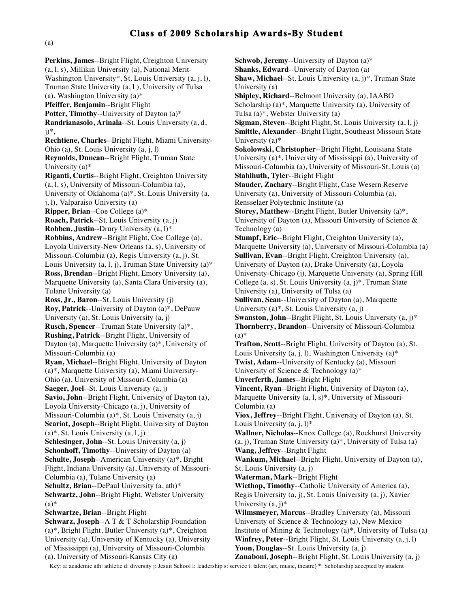**Perkins, James**--Bright Flight, Creighton University (a, l, s), Millikin University (a), National Merit-Washington University\*, St. Louis University (a, j, l), Truman State University (a, l ), University of Tulsa (a), Washington University (a)\* **Pfeiffer, Benjamin**--Bright Flight **Potter, Timothy**--University of Dayton (a)\* **Randrianasolo, Arinala**--St. Louis University (a, d,  $i)$ <sup>\*</sup>, **Rechtiene, Charles**--Bright Flight, Miami University-Ohio (a), St. Louis University (a, j, l) **Reynolds, Duncan**--Bright Flight, Truman State University (a)\* **Riganti, Curtis**--Bright Flight, Creighton University (a, l, s), University of Missouri-Columbia (a), University of Oklahoma (a)\*, St. Louis University (a, j, l), Valparaiso University (a) **Ripper, Brian**--Coe College (a)\* **Roach, Patrick**--St. Louis University (a, j) **Robben, Justin**--Drury University (a, l)\* **Robbins, Andrew**--Bright Flight, Coe College (a), Loyola University-New Orleans (a, s), University of Missouri-Columbia (a), Regis University (a, j), St. Louis University  $(a, 1, j)$ , Truman State University  $(a)^*$ **Ross, Brendan**--Bright Flight, Emory University (a), Marquette University (a), Santa Clara University (a), Tulane University (a) **Ross, Jr., Baron**--St. Louis University (j) **Roy, Patrick**--University of Dayton (a)\*, DePauw University (a), St. Louis University (a, j) **Rusch, Spencer**--Truman State University (a)\*, **Rushing, Patrick**--Bright Flight, University of Dayton (a), Marquette University (a)\*, University of Missouri-Columbia (a) **Ryan, Michael**--Bright Flight, University of Dayton (a)\*, Marquette University (a), Miami University-Ohio (a), University of Missouri-Columbia (a) **Saeger, Joel**--St. Louis University (a, j) **Savio, John**--Bright Flight, University of Dayton (a), Loyola University-Chicago (a, j), University of Missouri-Columbia (a)\*, St. Louis University (a, j) **Scariot, Joseph**--Bright Flight, University of Dayton  $(a)$ <sup>\*</sup>, St. Louis University  $(a, 1, i)$ **Schlesinger, John**--St. Louis University (a, j) **Schonhoff, Timothy**--University of Dayton (a) **Schulte, Joseph**--American University (a)\*, Bright Flight, Indiana University (a), University of Missouri-Columbia (a), Tulane University (a) **Schultz, Brian**--DePaul University (a, ath)\* **Schwartz, John**--Bright Flight, Webster University  $(a)$ **Schwartze, Brian**--Bright Flight **Schwarz, Joseph**--A T & T Scholarship Foundation (a)\*, Bright Flight, Butler University (a)\*, Creighton University (a), University of Kentucky (a), University of Mississippi (a), University of Missouri-Columbia

**Schwob, Jeremy**--University of Dayton (a)\* **Shanks, Edward**--University of Dayton (a) **Shaw, Michael**--St. Louis University (a, j)\*, Truman State University (a) **Shipley, Richard**--Belmont University (a), IAABO Scholarship (a)\*, Marquette University (a), University of Tulsa (a)\*, Webster University (a) **Sigman, Steven**--Bright Flight, St. Louis University (a, l, j) **Smittle, Alexander**--Bright Flight, Southeast Missouri State University (a)\* **Sokolowski, Christopher**--Bright Flight, Louisiana State University (a)\*, University of Mississippi (a), University of Missouri-Columbia (a), University of Missouri-St. Louis (a) **Stahlhuth, Tyler**--Bright Flight **Stauder, Zachary**--Bright Flight, Case Wesern Reserve University (a), University of Missouri-Columbia (a), Rensselaer Polytechnic Institute (a) **Storey, Matthew**--Bright Flight, Butler University (a)\*, University of Dayton (a), Missouri University of Science & Technology (a) **Stumpf, Eric**--Bright Flight, Creighton University (a), Marquette University (a), University of Missouri-Columbia (a) **Sullivan, Evan**--Bright Flight, Creighton University (a), University of Dayton (a), Drake University (a), Loyola University-Chicago (j), Marquette University (a), Spring Hill College  $(a, s)$ , St. Louis University  $(a, j)^*$ , Truman State University (a), University of Tulsa (a) **Sullivan, Sean**--University of Dayton (a), Marquette University (a)\*, St. Louis University (a, j) **Swanston, John--Bright Flight, St. Louis University (a, j)\* Thornberry, Brandon**--University of Missouri-Columbia (a)\* **Trafton, Scott**--Bright Flight, University of Dayton (a), St. Louis University  $(a, j, l)$ , Washington University  $(a)^*$ **Twist, Adam**--University of Kentucky (a), Missouri University of Science & Technology (a)\* **Unverferth, James**--Bright Flight **Vincent, Ryan**--Bright Flight, University of Dayton (a), Marquette University (a, l, s)\*, University of Missouri-Columbia (a) **Viox, Jeffrey**--Bright Flight, University of Dayton (a), St. Louis University  $(a, j, l)^*$ **Wallner, Nicholas**--Knox College (a), Rockhurst University (a, j), Truman State University (a)\*, University of Tulsa (a) **Wang, Jeffrey**--Bright Flight **Wankum, Michael**--Bright Flight, University of Dayton (a), St. Louis University (a, j) **Waterman, Mark**--Bright Flight **Wiethop, Timothy**--Catholic University of America (a), Regis University (a, j), St. Louis University (a, j), Xavier University (a, j)\* **Wilmsmeyer, Marcus**--Bradley University (a), Missouri University of Science & Technology (a), New Mexico Institute of Mining & Technology (a)\*, University of Tulsa (a) **Winfrey, Peter**--Bright Flight, St. Louis University (a, j, l)

**Yoon, Douglas**--St. Louis University (a, j)

(a), University of Missouri-Kansas City (a)

 Key: a: academic ath: athletic d: diversity j: Jesuit School l: leadership s: service t: talent (art, music, theatre) \*: Scholarship accepted by student **Zanaboni, Joseph**--Bright Flight, St. Louis University (a, j)